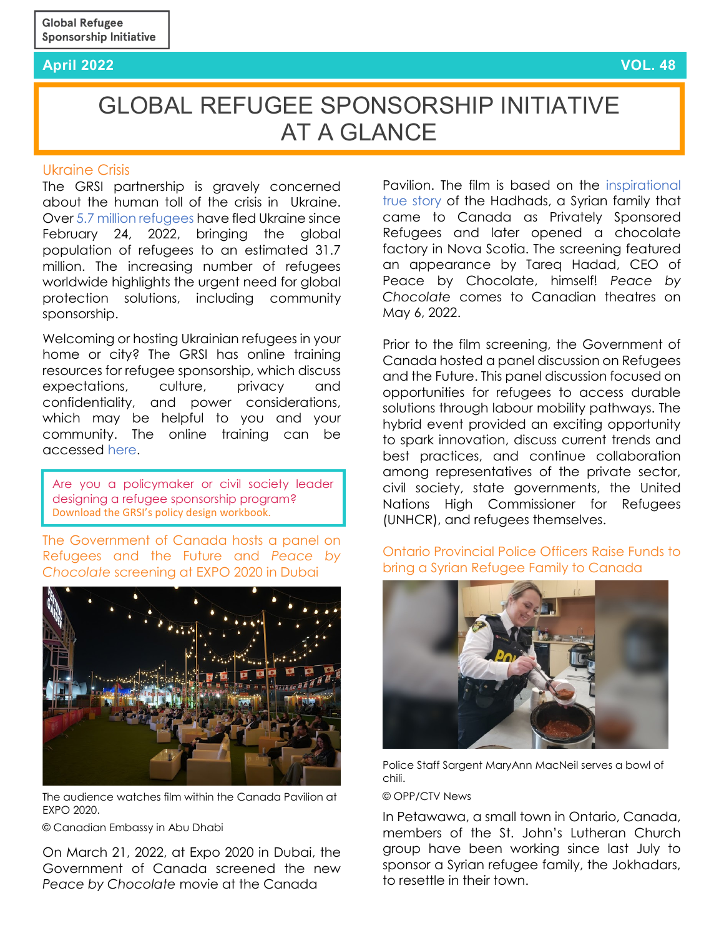### **April 2022 VOL. 48**

# GLOBAL REFUGEE SPONSORSHIP INITIATIVE AT A GLANCE

#### Ukraine Crisis

The GRSI partnership is gravely concerned about the human toll of the crisis in Ukraine. Over 5.7 [million refugees](https://data2.unhcr.org/en/situations/ukraine) have fled Ukraine since February 24, 2022, bringing the global population of refugees to an estimated 31.7 million. The increasing number of refugees worldwide highlights the urgent need for global protection solutions, including community sponsorship.

Welcoming or hosting Ukrainian refugees in your home or city? The GRSI has online training resources for refugee sponsorship, which discuss expectations, culture, privacy and confidentiality, and power considerations, which may be helpful to you and your community. The online training can be accessed [here.](https://training.refugeesponsorship.org/)

Are you a policymaker or civil society leader designing a refugee sponsorship program? [Download the GRSI's policy design workbook.](https://refugeesponsorship.org/_uploads/603152976a5bb.pdf)

[The Government of Canada hosts a panel on](https://twitter.com/CanadainUAE/status/1506626829163143179?cxt=HHwWloC9lczHzugpAAAA)  [Refugees and the Future and](https://twitter.com/CanadainUAE/status/1506626829163143179?cxt=HHwWloC9lczHzugpAAAA) *Peace by Chocolate* [screening at EXPO 2020 in Dubai](https://twitter.com/CanadainUAE/status/1506626829163143179?cxt=HHwWloC9lczHzugpAAAA)



The audience watches film within the Canada Pavilion at EXPO 2020.

© Canadian Embassy in Abu Dhabi

On March 21, 2022, at Expo 2020 in Dubai, the Government of Canada screened the new *Peace by Chocolate* movie at the Canada

Pavilion. The film is based on the [inspirational](https://peacebychocolate.ca/pages/the-peace-by-chocolate-story)  [true story](https://peacebychocolate.ca/pages/the-peace-by-chocolate-story) of the Hadhads, a Syrian family that came to Canada as Privately Sponsored Refugees and later opened a chocolate factory in Nova Scotia. The screening featured an appearance by Tareq Hadad, CEO of Peace by Chocolate, himself! *Peace by Chocolate* comes to Canadian theatres on May 6, 2022.

Prior to the film screening, the Government of Canada hosted a panel discussion on Refugees and the Future. This panel discussion focused on opportunities for refugees to access durable solutions through labour mobility pathways. The hybrid event provided an exciting opportunity to spark innovation, discuss current trends and best practices, and continue collaboration among representatives of the private sector, civil society, state governments, the United Nations High Commissioner for Refugees (UNHCR), and refugees themselves.

## [Ontario Provincial Police Officers Raise Funds to](https://ottawa.ctvnews.ca/opp-chili-lunch-helps-raise-funds-to-bring-refugee-family-in-jordan-to-petawawa-ont-1.5847813)  [bring a Syrian Refugee Family to Canada](https://ottawa.ctvnews.ca/opp-chili-lunch-helps-raise-funds-to-bring-refugee-family-in-jordan-to-petawawa-ont-1.5847813)



Police Staff Sargent MaryAnn MacNeil serves a bowl of chili.

#### © OPP/CTV News

In Petawawa, a small town in Ontario, Canada, members of the St. John's Lutheran Church group have been working since last July to sponsor a Syrian refugee family, the Jokhadars, to resettle in their town.